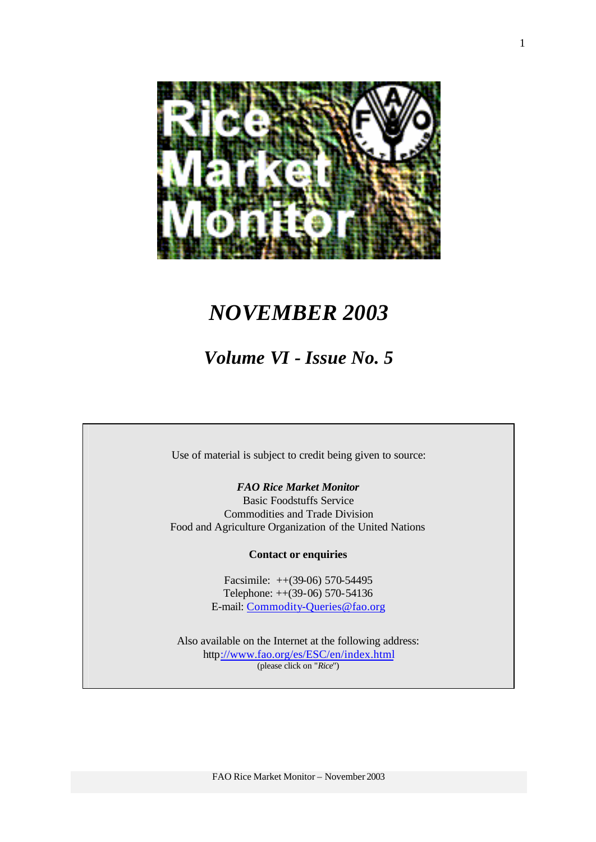

# *NOVEMBER 2003*

# *Volume VI - Issue No. 5*

Use of material is subject to credit being given to source:

## *FAO Rice Market Monitor*

Basic Foodstuffs Service Commodities and Trade Division Food and Agriculture Organization of the United Nations

#### **Contact or enquiries**

Facsimile: ++(39-06) 570-54495 Telephone: ++(39-06) 570-54136 E-mail: Commodity-Queries@fao.org

Also available on the Internet at the following address: http://www.fao.org/es/ESC/en/index.html (please click on "*Rice*")

FAO Rice Market Monitor – November 2003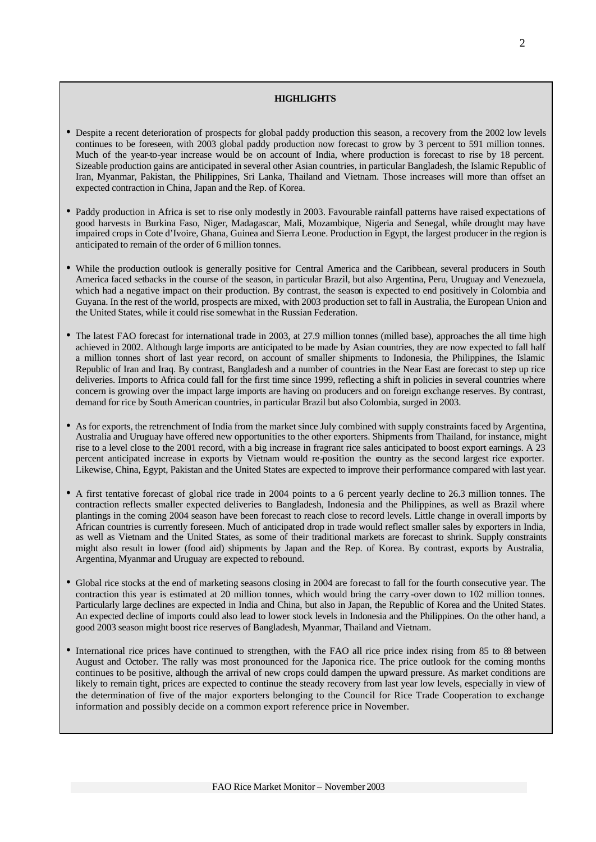#### **HIGHLIGHTS**

- Despite a recent deterioration of prospects for global paddy production this season, a recovery from the 2002 low levels continues to be foreseen, with 2003 global paddy production now forecast to grow by 3 percent to 591 million tonnes. Much of the year-to-year increase would be on account of India, where production is forecast to rise by 18 percent. Sizeable production gains are anticipated in several other Asian countries, in particular Bangladesh, the Islamic Republic of Iran, Myanmar, Pakistan, the Philippines, Sri Lanka, Thailand and Vietnam. Those increases will more than offset an expected contraction in China, Japan and the Rep. of Korea.
- Paddy production in Africa is set to rise only modestly in 2003. Favourable rainfall patterns have raised expectations of good harvests in Burkina Faso, Niger, Madagascar, Mali, Mozambique, Nigeria and Senegal, while drought may have impaired crops in Cote d'Ivoire, Ghana, Guinea and Sierra Leone. Production in Egypt, the largest producer in the region is anticipated to remain of the order of 6 million tonnes.
- While the production outlook is generally positive for Central America and the Caribbean, several producers in South America faced setbacks in the course of the season, in particular Brazil, but also Argentina, Peru, Uruguay and Venezuela, which had a negative impact on their production. By contrast, the season is expected to end positively in Colombia and Guyana. In the rest of the world, prospects are mixed, with 2003 production set to fall in Australia, the European Union and the United States, while it could rise somewhat in the Russian Federation.
- The latest FAO forecast for international trade in 2003, at 27.9 million tonnes (milled base), approaches the all time high achieved in 2002. Although large imports are anticipated to be made by Asian countries, they are now expected to fall half a million tonnes short of last year record, on account of smaller shipments to Indonesia, the Philippines, the Islamic Republic of Iran and Iraq. By contrast, Bangladesh and a number of countries in the Near East are forecast to step up rice deliveries. Imports to Africa could fall for the first time since 1999, reflecting a shift in policies in several countries where concern is growing over the impact large imports are having on producers and on foreign exchange reserves. By contrast, demand for rice by South American countries, in particular Brazil but also Colombia, surged in 2003.
- As for exports, the retrenchment of India from the market since July combined with supply constraints faced by Argentina, Australia and Uruguay have offered new opportunities to the other exporters. Shipments from Thailand, for instance, might rise to a level close to the 2001 record, with a big increase in fragrant rice sales anticipated to boost export earnings. A 23 percent anticipated increase in exports by Vietnam would re-position the country as the second largest rice exporter. Likewise, China, Egypt, Pakistan and the United States are expected to improve their performance compared with last year.
- A first tentative forecast of global rice trade in 2004 points to a 6 percent yearly decline to 26.3 million tonnes. The contraction reflects smaller expected deliveries to Bangladesh, Indonesia and the Philippines, as well as Brazil where plantings in the coming 2004 season have been forecast to reach close to record levels. Little change in overall imports by African countries is currently foreseen. Much of anticipated drop in trade would reflect smaller sales by exporters in India, as well as Vietnam and the United States, as some of their traditional markets are forecast to shrink. Supply constraints might also result in lower (food aid) shipments by Japan and the Rep. of Korea. By contrast, exports by Australia, Argentina, Myanmar and Uruguay are expected to rebound.
- Global rice stocks at the end of marketing seasons closing in 2004 are forecast to fall for the fourth consecutive year. The contraction this year is estimated at 20 million tonnes, which would bring the carry -over down to 102 million tonnes. Particularly large declines are expected in India and China, but also in Japan, the Republic of Korea and the United States. An expected decline of imports could also lead to lower stock levels in Indonesia and the Philippines. On the other hand, a good 2003 season might boost rice reserves of Bangladesh, Myanmar, Thailand and Vietnam.
- International rice prices have continued to strengthen, with the FAO all rice price index rising from 85 to 88 between August and October. The rally was most pronounced for the Japonica rice. The price outlook for the coming months continues to be positive, although the arrival of new crops could dampen the upward pressure. As market conditions are likely to remain tight, prices are expected to continue the steady recovery from last year low levels, especially in view of the determination of five of the major exporters belonging to the Council for Rice Trade Cooperation to exchange information and possibly decide on a common export reference price in November.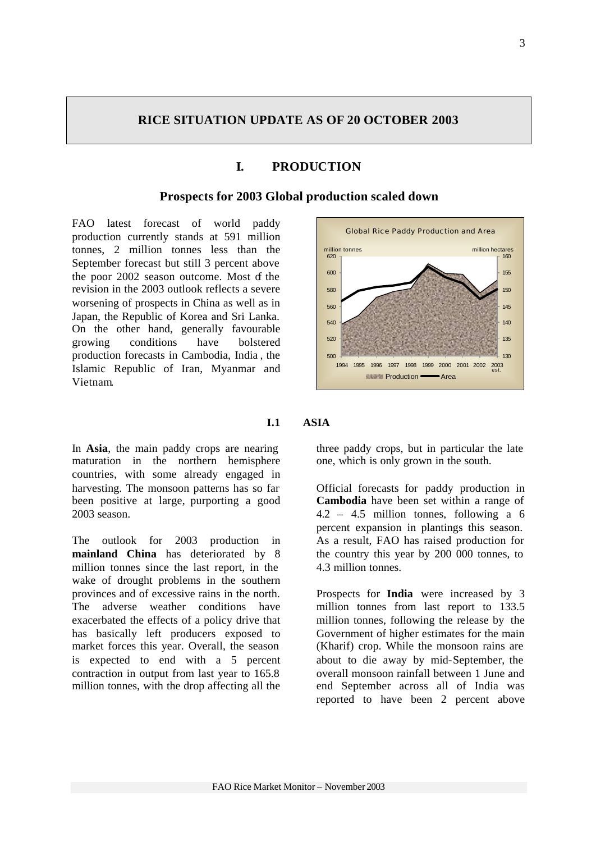# **RICE SITUATION UPDATE AS OF 20 OCTOBER 2003**

# **I. PRODUCTION**

#### **Prospects for 2003 Global production scaled down**

FAO latest forecast of world paddy production currently stands at 591 million tonnes, 2 million tonnes less than the September forecast but still 3 percent above the poor 2002 season outcome. Most of the revision in the 2003 outlook reflects a severe worsening of prospects in China as well as in Japan, the Republic of Korea and Sri Lanka. On the other hand, generally favourable growing conditions have bolstered production forecasts in Cambodia, India , the Islamic Republic of Iran, Myanmar and Vietnam.

In **Asia**, the main paddy crops are nearing maturation in the northern hemisphere countries, with some already engaged in harvesting. The monsoon patterns has so far been positive at large, purporting a good 2003 season.

The outlook for 2003 production in **mainland China** has deteriorated by 8 million tonnes since the last report, in the wake of drought problems in the southern provinces and of excessive rains in the north. The adverse weather conditions have exacerbated the effects of a policy drive that has basically left producers exposed to market forces this year. Overall, the season is expected to end with a 5 percent contraction in output from last year to 165.8 million tonnes, with the drop affecting all the



## **I.1 ASIA**

three paddy crops, but in particular the late one, which is only grown in the south.

Official forecasts for paddy production in **Cambodia** have been set within a range of 4.2 – 4.5 million tonnes, following a 6 percent expansion in plantings this season. As a result, FAO has raised production for the country this year by 200 000 tonnes, to 4.3 million tonnes.

Prospects for **India** were increased by 3 million tonnes from last report to 133.5 million tonnes, following the release by the Government of higher estimates for the main (Kharif) crop. While the monsoon rains are about to die away by mid-September, the overall monsoon rainfall between 1 June and end September across all of India was reported to have been 2 percent above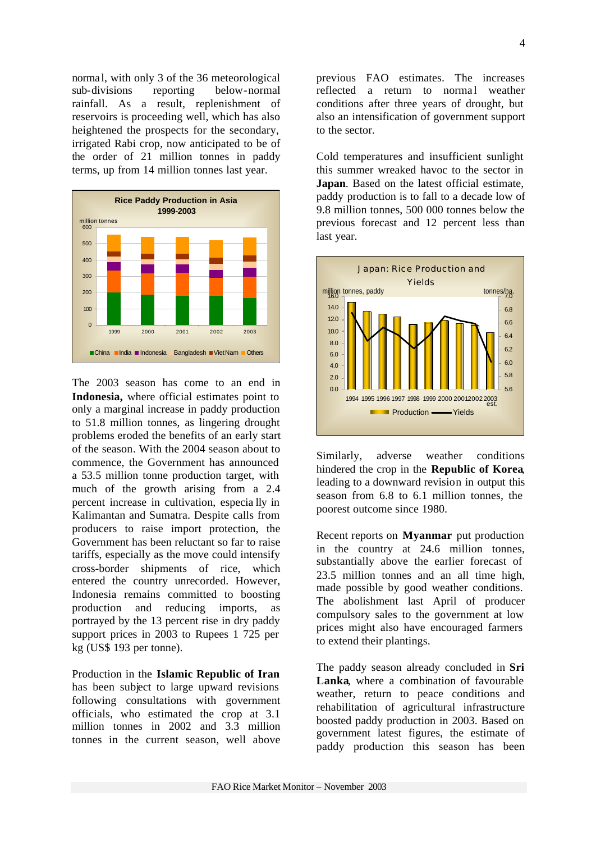norma l, with only 3 of the 36 meteorological sub-divisions reporting below-normal rainfall. As a result, replenishment of reservoirs is proceeding well, which has also heightened the prospects for the secondary, irrigated Rabi crop, now anticipated to be of the order of 21 million tonnes in paddy terms, up from 14 million tonnes last year.



The 2003 season has come to an end in **Indonesia,** where official estimates point to only a marginal increase in paddy production to 51.8 million tonnes, as lingering drought problems eroded the benefits of an early start of the season. With the 2004 season about to commence, the Government has announced a 53.5 million tonne production target, with much of the growth arising from a 2.4 percent increase in cultivation, especia lly in Kalimantan and Sumatra. Despite calls from producers to raise import protection, the Government has been reluctant so far to raise tariffs, especially as the move could intensify cross-border shipments of rice, which entered the country unrecorded. However, Indonesia remains committed to boosting production and reducing imports, as portrayed by the 13 percent rise in dry paddy support prices in 2003 to Rupees 1 725 per kg (US\$ 193 per tonne).

Production in the **Islamic Republic of Iran**  has been subject to large upward revisions following consultations with government officials, who estimated the crop at 3.1 million tonnes in 2002 and 3.3 million tonnes in the current season, well above

previous FAO estimates. The increases reflected a return to normal weather conditions after three years of drought, but also an intensification of government support to the sector.

Cold temperatures and insufficient sunlight this summer wreaked havoc to the sector in **Japan**. Based on the latest official estimate, paddy production is to fall to a decade low of 9.8 million tonnes, 500 000 tonnes below the previous forecast and 12 percent less than last year.



Similarly, adverse weather conditions hindered the crop in the **Republic of Korea**, leading to a downward revision in output this season from 6.8 to 6.1 million tonnes, the poorest outcome since 1980.

Recent reports on **Myanmar** put production in the country at 24.6 million tonnes, substantially above the earlier forecast of 23.5 million tonnes and an all time high, made possible by good weather conditions. The abolishment last April of producer compulsory sales to the government at low prices might also have encouraged farmers to extend their plantings.

The paddy season already concluded in **Sri Lanka**, where a combination of favourable weather, return to peace conditions and rehabilitation of agricultural infrastructure boosted paddy production in 2003. Based on government latest figures, the estimate of paddy production this season has been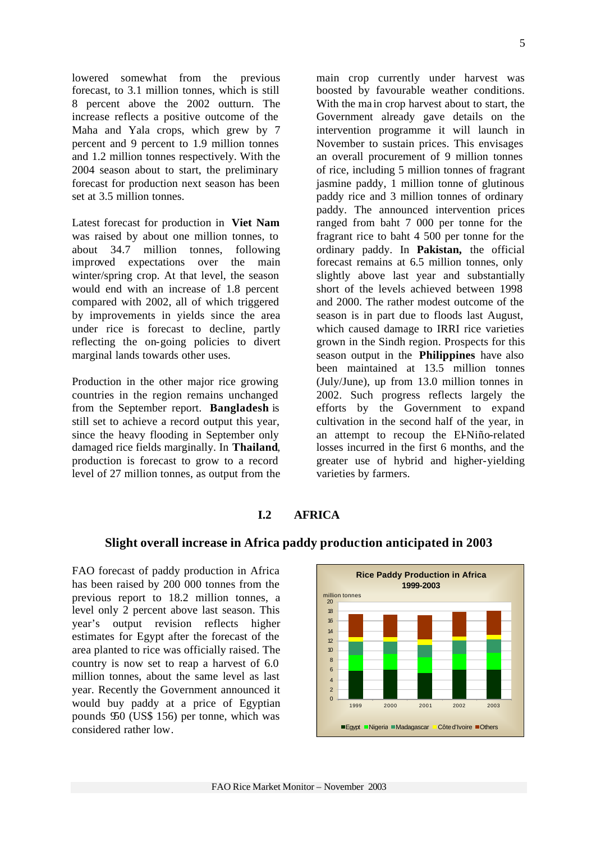lowered somewhat from the previous forecast, to 3.1 million tonnes, which is still 8 percent above the 2002 outturn. The increase reflects a positive outcome of the Maha and Yala crops, which grew by 7 percent and 9 percent to 1.9 million tonnes and 1.2 million tonnes respectively. With the 2004 season about to start, the preliminary forecast for production next season has been set at 3.5 million tonnes.

Latest forecast for production in **Viet Nam** was raised by about one million tonnes, to about 34.7 million tonnes, following improved expectations over the main winter/spring crop. At that level, the season would end with an increase of 1.8 percent compared with 2002, all of which triggered by improvements in yields since the area under rice is forecast to decline, partly reflecting the on-going policies to divert marginal lands towards other uses.

Production in the other major rice growing countries in the region remains unchanged from the September report. **Bangladesh** is still set to achieve a record output this year, since the heavy flooding in September only damaged rice fields marginally. In **Thailand**, production is forecast to grow to a record level of 27 million tonnes, as output from the main crop currently under harvest was boosted by favourable weather conditions. With the ma in crop harvest about to start, the Government already gave details on the intervention programme it will launch in November to sustain prices. This envisages an overall procurement of 9 million tonnes of rice, including 5 million tonnes of fragrant jasmine paddy, 1 million tonne of glutinous paddy rice and 3 million tonnes of ordinary paddy. The announced intervention prices ranged from baht 7 000 per tonne for the fragrant rice to baht 4 500 per tonne for the ordinary paddy. In **Pakistan,** the official forecast remains at 6.5 million tonnes, only slightly above last year and substantially short of the levels achieved between 1998 and 2000. The rather modest outcome of the season is in part due to floods last August, which caused damage to IRRI rice varieties grown in the Sindh region. Prospects for this season output in the **Philippines** have also been maintained at 13.5 million tonnes (July/June), up from 13.0 million tonnes in 2002. Such progress reflects largely the efforts by the Government to expand cultivation in the second half of the year, in an attempt to recoup the El-Niño-related losses incurred in the first 6 months, and the greater use of hybrid and higher-yielding varieties by farmers.

#### **I.2 AFRICA**

#### **Slight overall increase in Africa paddy production anticipated in 2003**

FAO forecast of paddy production in Africa has been raised by 200 000 tonnes from the previous report to 18.2 million tonnes, a level only 2 percent above last season. This year's output revision reflects higher estimates for Egypt after the forecast of the area planted to rice was officially raised. The country is now set to reap a harvest of 6.0 million tonnes, about the same level as last year. Recently the Government announced it would buy paddy at a price of Egyptian pounds 950 (US\$ 156) per tonne, which was considered rather low.

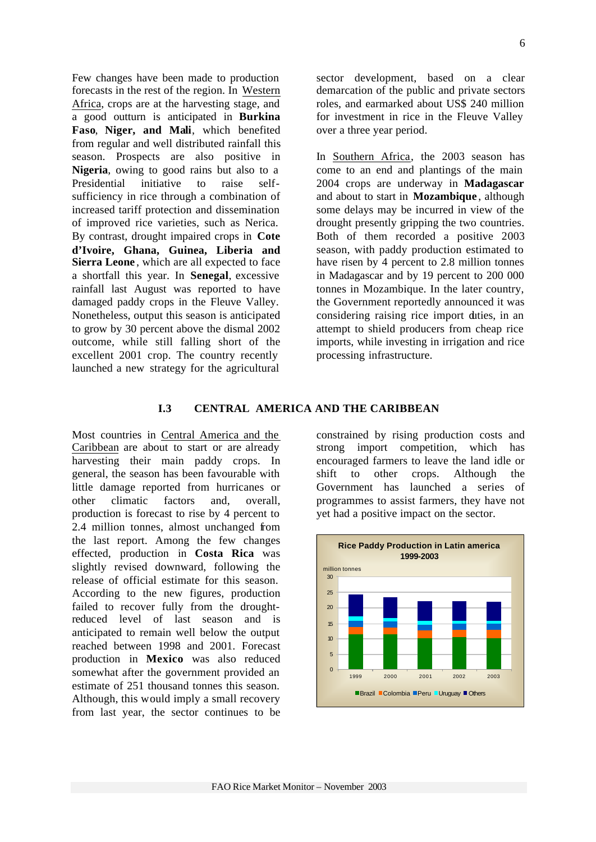Few changes have been made to production forecasts in the rest of the region. In Western Africa, crops are at the harvesting stage, and a good outturn is anticipated in **Burkina Faso**, **Niger, and Mali**, which benefited from regular and well distributed rainfall this season. Prospects are also positive in **Nigeria**, owing to good rains but also to a Presidential initiative to raise selfsufficiency in rice through a combination of increased tariff protection and dissemination of improved rice varieties, such as Nerica. By contrast, drought impaired crops in **Cote d'Ivoire, Ghana, Guinea, Liberia and** Sierra Leone, which are all expected to face a shortfall this year. In **Senegal**, excessive rainfall last August was reported to have damaged paddy crops in the Fleuve Valley. Nonetheless, output this season is anticipated to grow by 30 percent above the dismal 2002 outcome, while still falling short of the excellent 2001 crop. The country recently launched a new strategy for the agricultural

sector development, based on a clear demarcation of the public and private sectors roles, and earmarked about US\$ 240 million for investment in rice in the Fleuve Valley over a three year period.

In Southern Africa, the 2003 season has come to an end and plantings of the main 2004 crops are underway in **Madagascar** and about to start in **Mozambique** , although some delays may be incurred in view of the drought presently gripping the two countries. Both of them recorded a positive 2003 season, with paddy production estimated to have risen by 4 percent to 2.8 million tonnes in Madagascar and by 19 percent to 200 000 tonnes in Mozambique. In the later country, the Government reportedly announced it was considering raising rice import duties, in an attempt to shield producers from cheap rice imports, while investing in irrigation and rice processing infrastructure.

#### **I.3 CENTRAL AMERICA AND THE CARIBBEAN**

Most countries in Central America and the Caribbean are about to start or are already harvesting their main paddy crops. In general, the season has been favourable with little damage reported from hurricanes or other climatic factors and, overall, production is forecast to rise by 4 percent to 2.4 million tonnes, almost unchanged from the last report. Among the few changes effected, production in **Costa Rica** was slightly revised downward, following the release of official estimate for this season. According to the new figures, production failed to recover fully from the droughtreduced level of last season and is anticipated to remain well below the output reached between 1998 and 2001. Forecast production in **Mexico** was also reduced somewhat after the government provided an estimate of 251 thousand tonnes this season. Although, this would imply a small recovery from last year, the sector continues to be

constrained by rising production costs and strong import competition, which has encouraged farmers to leave the land idle or shift to other crops. Although the Government has launched a series of programmes to assist farmers, they have not yet had a positive impact on the sector.

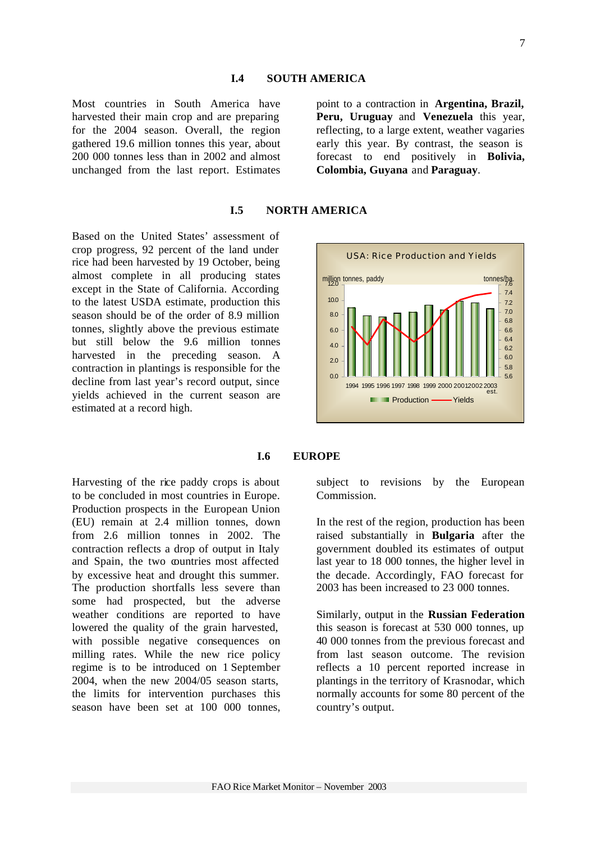#### **I.4 SOUTH AMERICA**

Most countries in South America have harvested their main crop and are preparing for the 2004 season. Overall, the region gathered 19.6 million tonnes this year, about 200 000 tonnes less than in 2002 and almost unchanged from the last report. Estimates

point to a contraction in **Argentina, Brazil, Peru, Uruguay** and **Venezuela** this year, reflecting, to a large extent, weather vagaries early this year. By contrast, the season is forecast to end positively in **Bolivia, Colombia, Guyana** and **Paraguay**.

#### **I.5 NORTH AMERICA**

Based on the United States' assessment of crop progress, 92 percent of the land under rice had been harvested by 19 October, being almost complete in all producing states except in the State of California. According to the latest USDA estimate, production this season should be of the order of 8.9 million tonnes, slightly above the previous estimate but still below the 9.6 million tonnes harvested in the preceding season. A contraction in plantings is responsible for the decline from last year's record output, since yields achieved in the current season are estimated at a record high.



#### **I.6 EUROPE**

Harvesting of the rice paddy crops is about to be concluded in most countries in Europe. Production prospects in the European Union (EU) remain at 2.4 million tonnes, down from 2.6 million tonnes in 2002. The contraction reflects a drop of output in Italy and Spain, the two countries most affected by excessive heat and drought this summer. The production shortfalls less severe than some had prospected, but the adverse weather conditions are reported to have lowered the quality of the grain harvested, with possible negative consequences on milling rates. While the new rice policy regime is to be introduced on 1 September 2004, when the new 2004/05 season starts, the limits for intervention purchases this season have been set at 100 000 tonnes,

subject to revisions by the European Commission.

In the rest of the region, production has been raised substantially in **Bulgaria** after the government doubled its estimates of output last year to 18 000 tonnes, the higher level in the decade. Accordingly, FAO forecast for 2003 has been increased to 23 000 tonnes.

Similarly, output in the **Russian Federation** this season is forecast at 530 000 tonnes, up 40 000 tonnes from the previous forecast and from last season outcome. The revision reflects a 10 percent reported increase in plantings in the territory of Krasnodar, which normally accounts for some 80 percent of the country's output.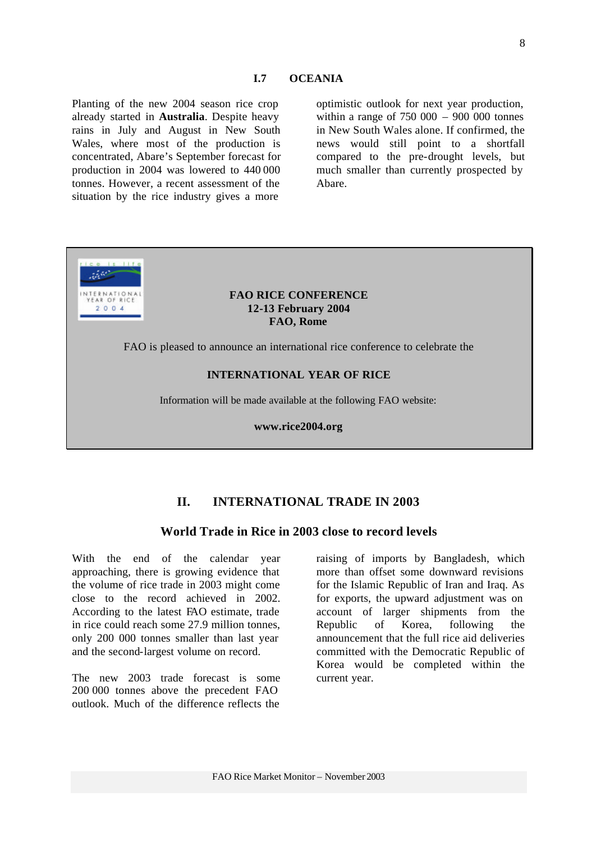Planting of the new 2004 season rice crop already started in **Australia**. Despite heavy rains in July and August in New South Wales, where most of the production is concentrated, Abare's September forecast for production in 2004 was lowered to 440 000 tonnes. However, a recent assessment of the situation by the rice industry gives a more

optimistic outlook for next year production, within a range of  $750,000 - 900,000$  tonnes in New South Wales alone. If confirmed, the news would still point to a shortfall compared to the pre-drought levels, but much smaller than currently prospected by Abare.



# **II. INTERNATIONAL TRADE IN 2003**

#### **World Trade in Rice in 2003 close to record levels**

With the end of the calendar year approaching, there is growing evidence that the volume of rice trade in 2003 might come close to the record achieved in 2002. According to the latest FAO estimate, trade in rice could reach some 27.9 million tonnes, only 200 000 tonnes smaller than last year and the second-largest volume on record.

The new 2003 trade forecast is some 200 000 tonnes above the precedent FAO outlook. Much of the difference reflects the

raising of imports by Bangladesh, which more than offset some downward revisions for the Islamic Republic of Iran and Iraq. As for exports, the upward adjustment was on account of larger shipments from the Republic of Korea, following the announcement that the full rice aid deliveries committed with the Democratic Republic of Korea would be completed within the current year.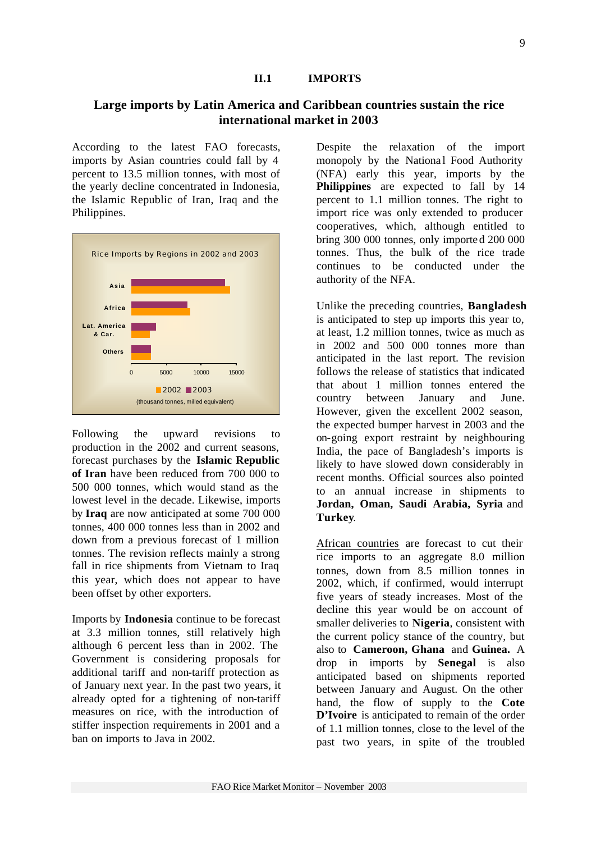#### **II.1 IMPORTS**

## **Large imports by Latin America and Caribbean countries sustain the rice international market in 2003**

According to the latest FAO forecasts, imports by Asian countries could fall by 4 percent to 13.5 million tonnes, with most of the yearly decline concentrated in Indonesia, the Islamic Republic of Iran, Iraq and the Philippines.



Following the upward revisions to production in the 2002 and current seasons, forecast purchases by the **Islamic Republic of Iran** have been reduced from 700 000 to 500 000 tonnes, which would stand as the lowest level in the decade. Likewise, imports by **Iraq** are now anticipated at some 700 000 tonnes, 400 000 tonnes less than in 2002 and down from a previous forecast of 1 million tonnes. The revision reflects mainly a strong fall in rice shipments from Vietnam to Iraq this year, which does not appear to have been offset by other exporters.

Imports by **Indonesia** continue to be forecast at 3.3 million tonnes, still relatively high although 6 percent less than in 2002. The Government is considering proposals for additional tariff and non-tariff protection as of January next year. In the past two years, it already opted for a tightening of non-tariff measures on rice, with the introduction of stiffer inspection requirements in 2001 and a ban on imports to Java in 2002.

Despite the relaxation of the import monopoly by the National Food Authority (NFA) early this year, imports by the **Philippines** are expected to fall by 14 percent to 1.1 million tonnes. The right to import rice was only extended to producer cooperatives, which, although entitled to bring 300 000 tonnes, only importe d 200 000 tonnes. Thus, the bulk of the rice trade continues to be conducted under the authority of the NFA.

Unlike the preceding countries, **Bangladesh** is anticipated to step up imports this year to, at least, 1.2 million tonnes, twice as much as in 2002 and 500 000 tonnes more than anticipated in the last report. The revision follows the release of statistics that indicated that about 1 million tonnes entered the country between January and June. However, given the excellent 2002 season, the expected bumper harvest in 2003 and the on-going export restraint by neighbouring India, the pace of Bangladesh's imports is likely to have slowed down considerably in recent months. Official sources also pointed to an annual increase in shipments to **Jordan, Oman, Saudi Arabia, Syria** and **Turkey**.

African countries are forecast to cut their rice imports to an aggregate 8.0 million tonnes, down from 8.5 million tonnes in 2002, which, if confirmed, would interrupt five years of steady increases. Most of the decline this year would be on account of smaller deliveries to **Nigeria**, consistent with the current policy stance of the country, but also to **Cameroon, Ghana** and **Guinea.** A drop in imports by **Senegal** is also anticipated based on shipments reported between January and August. On the other hand, the flow of supply to the **Cote D'Ivoire** is anticipated to remain of the order of 1.1 million tonnes, close to the level of the past two years, in spite of the troubled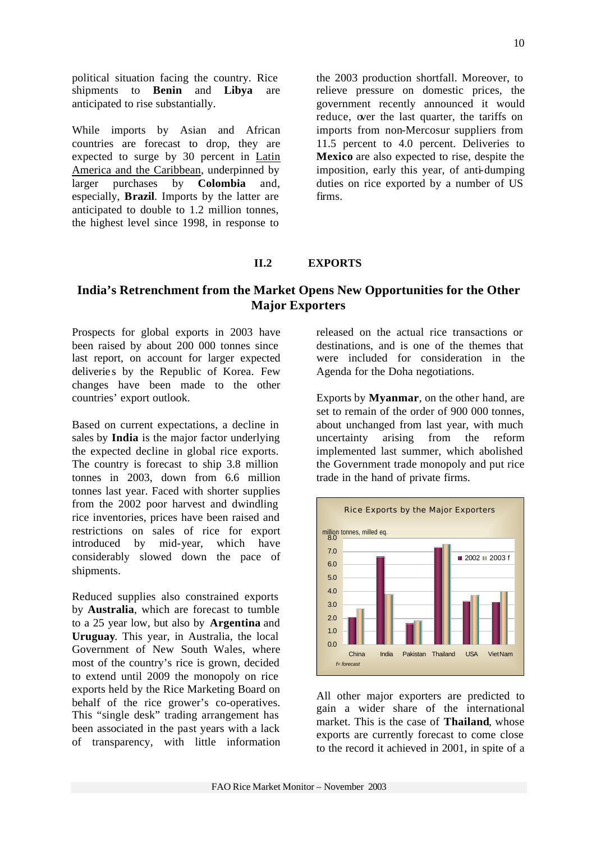political situation facing the country. Rice shipments to **Benin** and **Libya** are anticipated to rise substantially.

While imports by Asian and African countries are forecast to drop, they are expected to surge by 30 percent in Latin America and the Caribbean, underpinned by larger purchases by **Colombia** and, especially, **Brazil**. Imports by the latter are anticipated to double to 1.2 million tonnes, the highest level since 1998, in response to

the 2003 production shortfall. Moreover, to relieve pressure on domestic prices, the government recently announced it would reduce, over the last quarter, the tariffs on imports from non-Mercosur suppliers from 11.5 percent to 4.0 percent. Deliveries to **Mexico** are also expected to rise, despite the imposition, early this year, of anti-dumping duties on rice exported by a number of US firms.

#### **II.2 EXPORTS**

# **India's Retrenchment from the Market Opens New Opportunities for the Other Major Exporters**

Prospects for global exports in 2003 have been raised by about 200 000 tonnes since last report, on account for larger expected deliveries by the Republic of Korea. Few changes have been made to the other countries' export outlook.

Based on current expectations, a decline in sales by **India** is the major factor underlying the expected decline in global rice exports. The country is forecast to ship 3.8 million tonnes in 2003, down from 6.6 million tonnes last year. Faced with shorter supplies from the 2002 poor harvest and dwindling rice inventories, prices have been raised and restrictions on sales of rice for export introduced by mid-year, which have considerably slowed down the pace of shipments.

Reduced supplies also constrained exports by **Australia**, which are forecast to tumble to a 25 year low, but also by **Argentina** and **Uruguay**. This year, in Australia, the local Government of New South Wales, where most of the country's rice is grown, decided to extend until 2009 the monopoly on rice exports held by the Rice Marketing Board on behalf of the rice grower's co-operatives. This "single desk" trading arrangement has been associated in the past years with a lack of transparency, with little information

released on the actual rice transactions or destinations, and is one of the themes that were included for consideration in the Agenda for the Doha negotiations.

Exports by **Myanmar**, on the other hand, are set to remain of the order of 900 000 tonnes, about unchanged from last year, with much uncertainty arising from the reform implemented last summer, which abolished the Government trade monopoly and put rice trade in the hand of private firms.



All other major exporters are predicted to gain a wider share of the international market. This is the case of **Thailand**, whose exports are currently forecast to come close to the record it achieved in 2001, in spite of a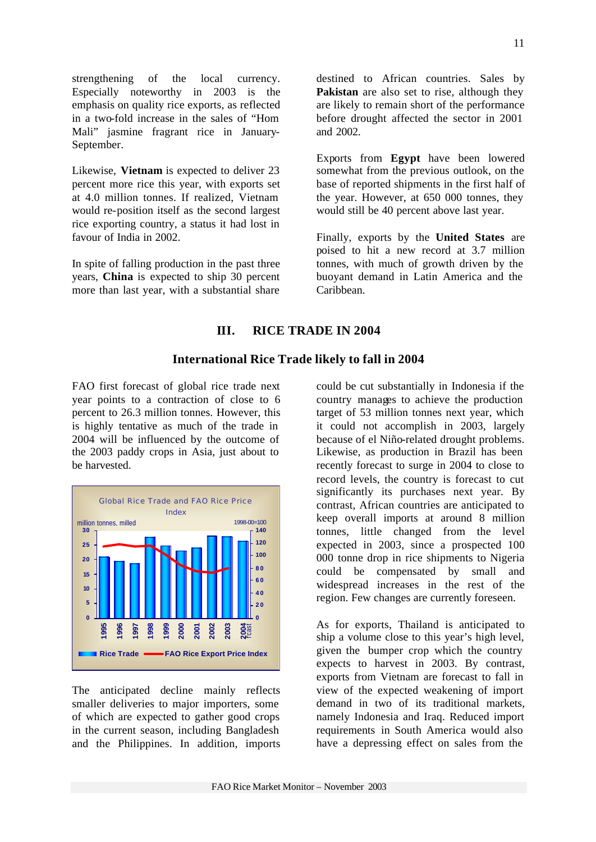strengthening of the local currency. Especially noteworthy in 2003 is the emphasis on quality rice exports, as reflected in a two-fold increase in the sales of "Hom Mali" jasmine fragrant rice in January-September.

Likewise, **Vietnam** is expected to deliver 23 percent more rice this year, with exports set at 4.0 million tonnes. If realized, Vietnam would re-position itself as the second largest rice exporting country, a status it had lost in favour of India in 2002.

In spite of falling production in the past three years, **China** is expected to ship 30 percent more than last year, with a substantial share

destined to African countries. Sales by **Pakistan** are also set to rise, although they are likely to remain short of the performance before drought affected the sector in 2001 and 2002.

Exports from **Egypt** have been lowered somewhat from the previous outlook, on the base of reported shipments in the first half of the year. However, at 650 000 tonnes, they would still be 40 percent above last year.

Finally, exports by the **United States** are poised to hit a new record at 3.7 million tonnes, with much of growth driven by the buoyant demand in Latin America and the Caribbean.

#### **III. RICE TRADE IN 2004**

#### **International Rice Trade likely to fall in 2004**

FAO first forecast of global rice trade next year points to a contraction of close to 6 percent to 26.3 million tonnes. However, this is highly tentative as much of the trade in 2004 will be influenced by the outcome of the 2003 paddy crops in Asia, just about to be harvested.



The anticipated decline mainly reflects smaller deliveries to major importers, some of which are expected to gather good crops in the current season, including Bangladesh and the Philippines. In addition, imports could be cut substantially in Indonesia if the country manages to achieve the production target of 53 million tonnes next year, which it could not accomplish in 2003, largely because of el Niño-related drought problems. Likewise, as production in Brazil has been recently forecast to surge in 2004 to close to record levels, the country is forecast to cut significantly its purchases next year. By contrast, African countries are anticipated to keep overall imports at around 8 million tonnes, little changed from the level expected in 2003, since a prospected 100 000 tonne drop in rice shipments to Nigeria could be compensated by small and widespread increases in the rest of the region. Few changes are currently foreseen.

As for exports, Thailand is anticipated to ship a volume close to this year's high level, given the bumper crop which the country expects to harvest in 2003. By contrast, exports from Vietnam are forecast to fall in view of the expected weakening of import demand in two of its traditional markets, namely Indonesia and Iraq. Reduced import requirements in South America would also have a depressing effect on sales from the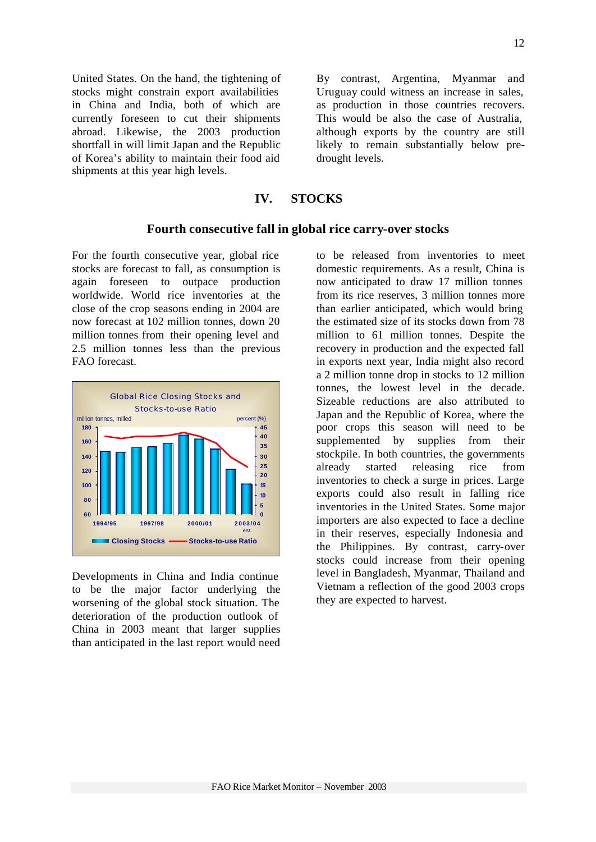United States. On the hand, the tightening of stocks might constrain export availabilities in China and India, both of which are currently foreseen to cut their shipments abroad. Likewise, the 2003 production shortfall in will limit Japan and the Republic of Korea's ability to maintain their food aid shipments at this year high levels.

By contrast, Argentina, Myanmar and Uruguay could witness an increase in sales, as production in those countries recovers. This would be also the case of Australia, although exports by the country are still likely to remain substantially below predrought levels.

# **IV. STOCKS**

#### **Fourth consecutive fall in global rice carry-over stocks**

For the fourth consecutive year, global rice stocks are forecast to fall, as consumption is again foreseen to outpace production worldwide. World rice inventories at the close of the crop seasons ending in 2004 are now forecast at 102 million tonnes, down 20 million tonnes from their opening level and 2.5 million tonnes less than the previous FAO forecast.



Developments in China and India continue to be the major factor underlying the worsening of the global stock situation. The deterioration of the production outlook of China in 2003 meant that larger supplies than anticipated in the last report would need to be released from inventories to meet domestic requirements. As a result, China is now anticipated to draw 17 million tonnes from its rice reserves, 3 million tonnes more than earlier anticipated, which would bring the estimated size of its stocks down from 78 million to 61 million tonnes. Despite the recovery in production and the expected fall in exports next year, India might also record a 2 million tonne drop in stocks to 12 million tonnes, the lowest level in the decade. Sizeable reductions are also attributed to Japan and the Republic of Korea, where the poor crops this season will need to be supplemented by supplies from their stockpile. In both countries, the governments already started releasing rice from inventories to check a surge in prices. Large exports could also result in falling rice inventories in the United States. Some major importers are also expected to face a decline in their reserves, especially Indonesia and the Philippines. By contrast, carry-over stocks could increase from their opening level in Bangladesh, Myanmar, Thailand and Vietnam a reflection of the good 2003 crops they are expected to harvest.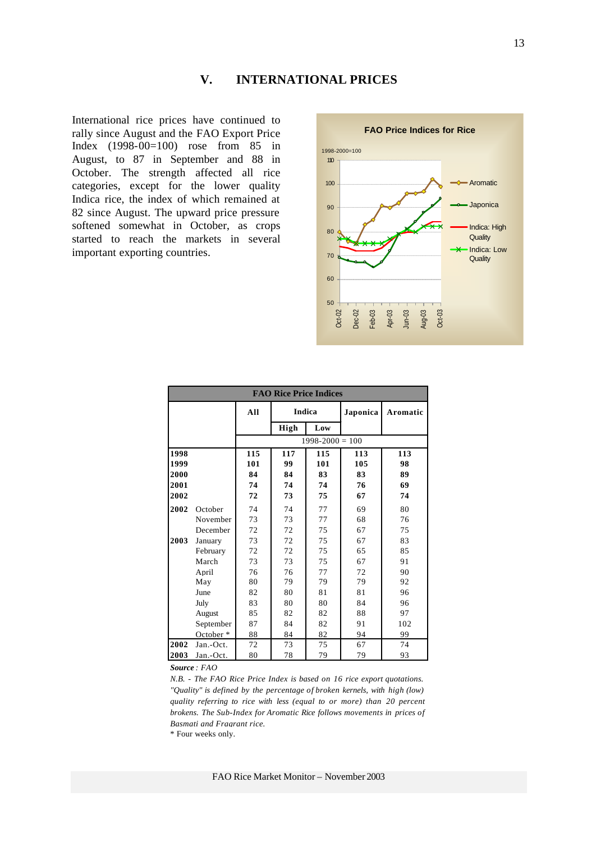# **V. INTERNATIONAL PRICES**

International rice prices have continued to rally since August and the FAO Export Price Index (1998-00=100) rose from 85 in August, to 87 in September and 88 in October. The strength affected all rice categories, except for the lower quality Indica rice, the index of which remained at 82 since August. The upward price pressure softened somewhat in October, as crops started to reach the markets in several important exporting countries.



| <b>FAO Rice Price Indices</b> |           |     |      |                     |     |          |  |  |  |
|-------------------------------|-----------|-----|------|---------------------|-----|----------|--|--|--|
|                               |           | All |      | <b>Indica</b>       |     | Aromatic |  |  |  |
|                               |           |     | High | Low                 |     |          |  |  |  |
|                               |           |     |      | $1998 - 2000 = 100$ |     |          |  |  |  |
| 1998                          |           | 115 | 117  | 115                 | 113 | 113      |  |  |  |
| 1999                          |           | 101 | 99   | 101                 | 105 | 98       |  |  |  |
| 2000                          |           | 84  | 84   | 83                  | 83  | 89       |  |  |  |
| 2001                          |           | 74  | 74   | 74                  | 76  | 69       |  |  |  |
| 2002                          |           | 72  | 73   | 75                  | 67  | 74       |  |  |  |
| 2002                          | October   | 74  | 74   | 77                  | 69  | 80       |  |  |  |
|                               | November  | 73  | 73   | 77                  | 68  | 76       |  |  |  |
|                               | December  | 72  | 72   | 75                  | 67  | 75       |  |  |  |
| 2003                          | January   | 73  | 72   | 75                  | 67  | 83       |  |  |  |
|                               | February  | 72  | 72   | 75                  | 65  | 85       |  |  |  |
|                               | March     | 73  | 73   | 75                  | 67  | 91       |  |  |  |
|                               | April     | 76  | 76   | 77                  | 72  | 90       |  |  |  |
|                               | May       | 80  | 79   | 79                  | 79  | 92       |  |  |  |
|                               | June      | 82  | 80   | 81                  | 81  | 96       |  |  |  |
|                               | July      | 83  | 80   | 80                  | 84  | 96       |  |  |  |
|                               | August    | 85  | 82   | 82                  | 88  | 97       |  |  |  |
|                               | September | 87  | 84   | 82                  | 91  | 102      |  |  |  |
|                               | October*  | 88  | 84   | 82                  | 94  | 99       |  |  |  |
| 2002                          | Jan.-Oct. | 72  | 73   | 75                  | 67  | 74       |  |  |  |
| 2003                          | Jan.-Oct. | 80  | 78   | 79                  | 79  | 93       |  |  |  |

*Source : FAO* 

*N.B. - The FAO Rice Price Index is based on 16 rice export quotations. "Quality" is defined by the percentage of broken kernels, with high (low) quality referring to rice with less (equal to or more) than 20 percent brokens. The Sub-Index for Aromatic Rice follows movements in prices of Basmati and Fragrant rice.*

\* Four weeks only.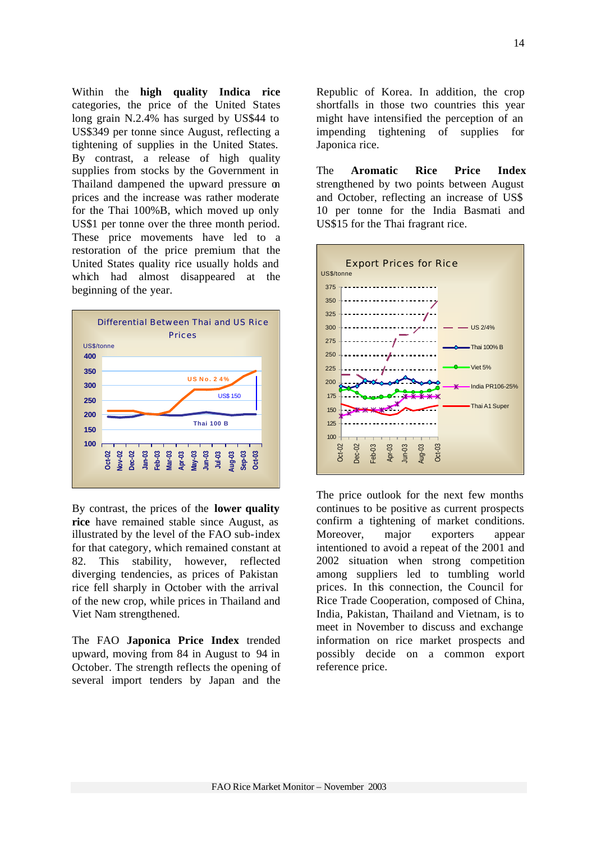Within the **high quality Indica rice** categories, the price of the United States long grain N.2.4% has surged by US\$44 to US\$349 per tonne since August, reflecting a tightening of supplies in the United States. By contrast, a release of high quality supplies from stocks by the Government in Thailand dampened the upward pressure on prices and the increase was rather moderate for the Thai 100%B, which moved up only US\$1 per tonne over the three month period. These price movements have led to a restoration of the price premium that the United States quality rice usually holds and which had almost disappeared at the beginning of the year.



By contrast, the prices of the **lower quality rice** have remained stable since August, as illustrated by the level of the FAO sub-index for that category, which remained constant at 82. This stability, however, reflected diverging tendencies, as prices of Pakistan rice fell sharply in October with the arrival of the new crop, while prices in Thailand and Viet Nam strengthened.

The FAO **Japonica Price Index** trended upward, moving from 84 in August to 94 in October. The strength reflects the opening of several import tenders by Japan and the

Republic of Korea. In addition, the crop shortfalls in those two countries this year might have intensified the perception of an impending tightening of supplies for Japonica rice.

The **Aromatic Rice Price Index** strengthened by two points between August and October, reflecting an increase of US\$ 10 per tonne for the India Basmati and US\$15 for the Thai fragrant rice.



The price outlook for the next few months continues to be positive as current prospects confirm a tightening of market conditions. Moreover, major exporters appear intentioned to avoid a repeat of the 2001 and 2002 situation when strong competition among suppliers led to tumbling world prices. In this connection, the Council for Rice Trade Cooperation, composed of China, India, Pakistan, Thailand and Vietnam, is to meet in November to discuss and exchange information on rice market prospects and possibly decide on a common export reference price.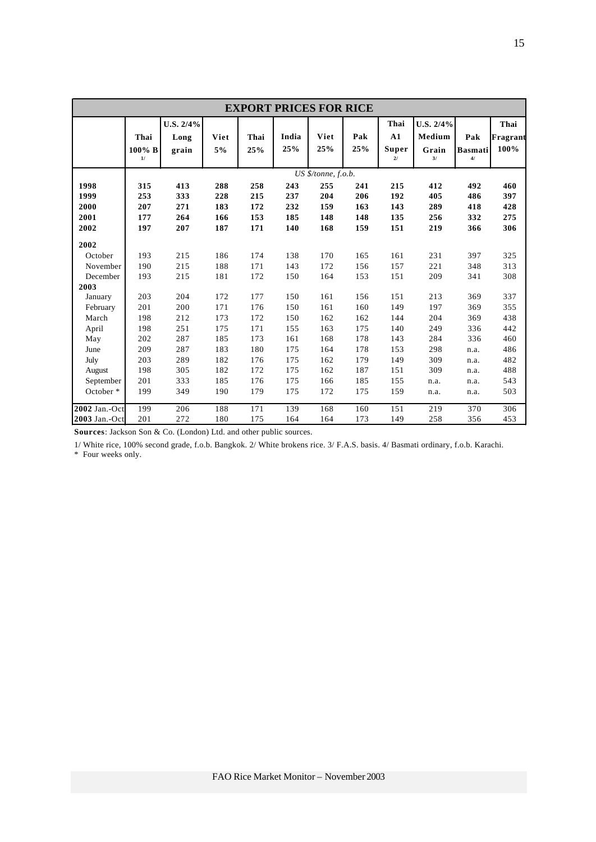|                                                                                                         | <b>EXPORT PRICES FOR RICE</b>                               |                                                             |                                                             |                                                             |                                                             |                                                             |                                                             |                                                             |                                                             |                                                              |                                                             |
|---------------------------------------------------------------------------------------------------------|-------------------------------------------------------------|-------------------------------------------------------------|-------------------------------------------------------------|-------------------------------------------------------------|-------------------------------------------------------------|-------------------------------------------------------------|-------------------------------------------------------------|-------------------------------------------------------------|-------------------------------------------------------------|--------------------------------------------------------------|-------------------------------------------------------------|
|                                                                                                         | Thai<br>100% B<br>1/                                        | U.S. 2/4%<br>Long<br>grain                                  | Viet<br>5%                                                  | Thai<br>25%                                                 | India<br>25%                                                | Viet<br>25%                                                 | Pak<br>25%                                                  | Thai<br>A1<br>Super<br>$2/$                                 | U.S. 2/4%<br>Medium<br>Grain<br>3/                          | Pak<br><b>Basmati</b><br>$4/$                                | Thai<br>Fragrant<br>100%                                    |
| 1998<br>1999<br>2000<br>2001                                                                            | 315<br>253<br>207<br>177                                    | 413<br>333<br>271<br>264                                    | 288<br>228<br>183<br>166                                    | 258<br>215<br>172<br>153                                    | 243<br>237<br>232<br>185                                    | US \$/tonne, f.o.b.<br>255<br>204<br>159<br>148             | 241<br>206<br>163<br>148                                    | 215<br>192<br>143<br>135                                    | 412<br>405<br>289<br>256                                    | 492<br>486<br>418<br>332                                     | 460<br>397<br>428<br>275                                    |
| 2002                                                                                                    | 197                                                         | 207                                                         | 187                                                         | 171                                                         | 140                                                         | 168                                                         | 159                                                         | 151                                                         | 219                                                         | 366                                                          | 306                                                         |
| 2002<br>October<br>November<br>December<br>2003<br>January<br>February<br>March<br>April<br>May<br>June | 193<br>190<br>193<br>203<br>201<br>198<br>198<br>202<br>209 | 215<br>215<br>215<br>204<br>200<br>212<br>251<br>287<br>287 | 186<br>188<br>181<br>172<br>171<br>173<br>175<br>185<br>183 | 174<br>171<br>172<br>177<br>176<br>172<br>171<br>173<br>180 | 138<br>143<br>150<br>150<br>150<br>150<br>155<br>161<br>175 | 170<br>172<br>164<br>161<br>161<br>162<br>163<br>168<br>164 | 165<br>156<br>153<br>156<br>160<br>162<br>175<br>178<br>178 | 161<br>157<br>151<br>151<br>149<br>144<br>140<br>143<br>153 | 231<br>221<br>209<br>213<br>197<br>204<br>249<br>284<br>298 | 397<br>348<br>341<br>369<br>369<br>369<br>336<br>336<br>n.a. | 325<br>313<br>308<br>337<br>355<br>438<br>442<br>460<br>486 |
| July<br>August<br>September<br>October <sup>*</sup>                                                     | 203<br>198<br>201<br>199                                    | 289<br>305<br>333<br>349                                    | 182<br>182<br>185<br>190                                    | 176<br>172<br>176<br>179                                    | 175<br>175<br>175<br>175                                    | 162<br>162<br>166<br>172                                    | 179<br>187<br>185<br>175                                    | 149<br>151<br>155<br>159                                    | 309<br>309<br>n.a.<br>n.a.                                  | n.a.<br>n.a.<br>n.a.<br>n.a.                                 | 482<br>488<br>543<br>503                                    |
| 2002 Jan.-Oct<br>2003 Jan.-Oct                                                                          | 199<br>201                                                  | 206<br>272                                                  | 188<br>180                                                  | 171<br>175                                                  | 139<br>164                                                  | 168<br>164                                                  | 160<br>173                                                  | 151<br>149                                                  | 219<br>258                                                  | 370<br>356                                                   | 306<br>453                                                  |

**Sources**: Jackson Son & Co. (London) Ltd. and other public sources.

1/ White rice, 100% second grade, f.o.b. Bangkok. 2/ White brokens rice. 3/ F.A.S. basis. 4/ Basmati ordinary, f.o.b. Karachi.

\* Four weeks only.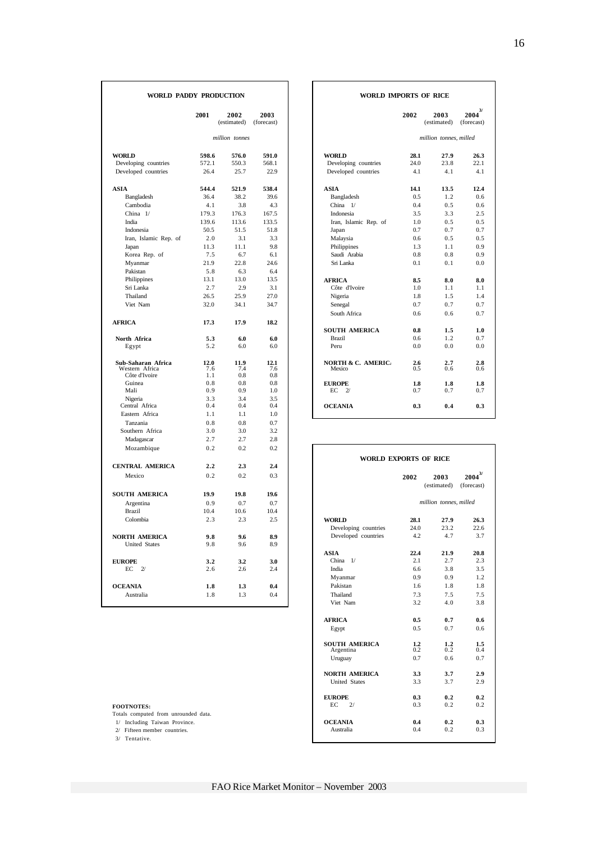| WORLD PADDY PRODUCTION |            |                     |                    | <b>WORLD IMPORTS OF RICE</b>          |            |                        |                                     |  |
|------------------------|------------|---------------------|--------------------|---------------------------------------|------------|------------------------|-------------------------------------|--|
|                        | 2001       | 2002<br>(estimated) | 2003<br>(forecast) |                                       | 2002       | 2003<br>(estimated)    | $\frac{3}{2}$<br>2004<br>(forecast) |  |
|                        |            | million tonnes      |                    |                                       |            | million tonnes, milled |                                     |  |
| <b>WORLD</b>           | 598.6      | 576.0               | 591.0              | <b>WORLD</b>                          | 28.1       | 27.9                   | 26.3                                |  |
| Developing countries   | 572.1      | 550.3               | 568.1              | Developing countries                  | 24.0       | 23.8                   | 22.1                                |  |
| Developed countries    | 26.4       | 25.7                | 22.9               | Developed countries                   | 4.1        | 4.1                    | 4.1                                 |  |
| <b>ASIA</b>            | 544.4      | 521.9               | 538.4              | ASIA                                  | 14.1       | 13.5                   | 12.4                                |  |
| Bangladesh             | 36.4       | 38.2                | 39.6               | Bangladesh                            | 0.5        | 1.2                    | 0.6                                 |  |
| Cambodia               | 4.1        | 3.8                 | 4.3                | China $1/$                            | 0.4        | 0.5                    | 0.6                                 |  |
| China $1/$             | 179.3      | 176.3               | 167.5              | Indonesia                             | 3.5        | 3.3                    | 2.5                                 |  |
| India                  | 139.6      | 113.6               | 133.5              | Iran, Islamic Rep. of                 | 1.0        | 0.5                    | 0.5                                 |  |
| Indonesia              | 50.5       | 51.5                | 51.8               | Japan                                 | 0.7        | 0.7                    | 0.7                                 |  |
| Iran, Islamic Rep. of  | 2.0        | 3.1                 | 3.3                | Malaysia                              | 0.6        | 0.5                    | 0.5                                 |  |
| Japan                  | 11.3       | 11.1                | 9.8                | Philippines                           | 1.3        | 1.1                    | 0.9                                 |  |
| Korea Rep. of          | 7.5        | 6.7                 | 6.1                | Saudi Arabia                          | 0.8        | 0.8                    | 0.9                                 |  |
| Myanmar                | 21.9       | 22.8                | 24.6               | Sri Lanka                             | 0.1        | 0.1                    | 0.0                                 |  |
| Pakistan               | 5.8        | 6.3                 | 6.4                |                                       |            |                        |                                     |  |
| Philippines            | 13.1       | 13.0                | 13.5               | <b>AFRICA</b>                         | 8.5        | 8.0                    | 8.0                                 |  |
| Sri Lanka              | 2.7        | 2.9                 | 3.1                | Côte d'Ivoire                         | 1.0        | 1.1                    | 1.1                                 |  |
| Thailand               | 26.5       | 25.9                | 27.0               | Nigeria                               | 1.8        | 1.5                    | 1.4                                 |  |
| Viet Nam               | 32.0       | 34.1                | 34.7               | Senegal                               | 0.7        | 0.7                    | 0.7                                 |  |
|                        |            |                     |                    | South Africa                          | 0.6        | 0.6                    | 0.7                                 |  |
| <b>AFRICA</b>          | 17.3       | 17.9                | 18.2               |                                       |            |                        |                                     |  |
|                        |            |                     |                    | <b>SOUTH AMERICA</b>                  | 0.8        | 1.5                    | 1.0                                 |  |
| North Africa           | 5.3        | 6.0                 | 6.0                | <b>Brazil</b>                         | 0.6        | 1.2                    | 0.7                                 |  |
| Egypt                  | 5.2        | 6.0                 | 6.0                | Peru                                  | 0.0        | 0.0                    | 0.0                                 |  |
| Sub-Saharan Africa     | 12.0       | 11.9                | 12.1               | <b>NORTH &amp; C. AMERIC.</b>         | 2.6        | 2.7                    | 2.8                                 |  |
| Western Africa         | 7.6        | 7.4                 | 7.6                | Mexico                                | 0.5        | 0.6                    | 0.6                                 |  |
| Côte d'Ivoire          | 1.1        | 0.8                 | 0.8                |                                       |            |                        |                                     |  |
| Guinea<br>Mali         | 0.8<br>0.9 | 0.8<br>0.9          | 0.8<br>1.0         | <b>EUROPE</b><br>EС<br>$\mathcal{D}'$ | 1.8<br>0.7 | 1.8<br>0.7             | 1.8<br>0.7                          |  |
| Nigeria                | 3.3        | 3.4                 | 3.5                |                                       |            |                        |                                     |  |
| Central Africa         | 0.4        | 0.4                 | 0.4                | <b>OCEANIA</b>                        | 0.3        | 0.4                    | 0.3                                 |  |
| Eastern Africa         | 1.1        | 1.1                 | 1.0                |                                       |            |                        |                                     |  |
| Tanzania               | 0.8        | 0.8                 | 0.7                |                                       |            |                        |                                     |  |
| Southern Africa        | 3.0        | 3.0                 | 3.2                |                                       |            |                        |                                     |  |
| Madagascar             | 2.7        | 2.7                 | 2.8                |                                       |            |                        |                                     |  |
| Mozambique             | 0.2        | 0.2                 | 0.2                |                                       |            |                        |                                     |  |
|                        |            |                     |                    | <b>WORLD EXPORTS OF RICE</b>          |            |                        |                                     |  |
| <b>CENTRAL AMERICA</b> | 2,2        | 2.3                 | 2.4                |                                       |            |                        |                                     |  |
| Mexico                 | 0.2        | 0.2                 | 0.3                |                                       | 2002       | 2003<br>(estimated)    | $2004^{3/}$<br>(forecast)           |  |
| <b>SOUTH AMERICA</b>   | 19.9       | 19.8                | 19.6               |                                       |            |                        |                                     |  |
| Argentina              | 0.9        | 0.7                 | 0.7                |                                       |            | million tonnes, milled |                                     |  |
| <b>Brazil</b>          | 10.4       | 10.6                | 10.4               |                                       |            |                        |                                     |  |
| Colombia               | 2.3        | 2.3                 | 2.5                | <b>WORLD</b>                          | 28.1       | 27.9                   | 26.3                                |  |
|                        |            |                     |                    | Developing countries                  | 24.0       | 23.2                   | 22.6                                |  |
| NORTH AMERICA          | 9.8        | 9.6                 | 8.9                | Developed countries                   | 4.2        | 4.7                    | 3.7                                 |  |
| United States          | 9.8        | 9.6                 | 8.9                |                                       |            |                        |                                     |  |
|                        |            |                     |                    | <b>ASIA</b>                           | 22.4       | 21.9                   | 20.8                                |  |
| <b>EUROPE</b>          | 3.2        | 3.2                 | 3.0                | China $1/$                            | 2.1        | 2.7                    | 2.3                                 |  |
| EC<br>2/               | 2.6        | 2.6                 | 2.4                | India                                 | 6.6        | 3.8                    | 3.5                                 |  |
|                        |            |                     |                    | Myanmar                               | 0.9        | 0.9                    | 1.2                                 |  |
| <b>OCEANIA</b>         | 1.8        | 1.3                 | 0.4                | Pakistan                              | 1.6        | 1.8                    | 1.8                                 |  |
| Australia              | 1.8        | 1.3                 | 0.4                | Thailand                              | 7.3        | 7.5                    | 7.5                                 |  |
|                        |            |                     |                    | Viet Nam                              | 3.2        | 4.0                    | 3.8                                 |  |

# **WORLD IMPORTS OF RICE**

| 2001       | 2002<br>(estimated) | 2003<br>(forecast) | 2002                                 | 2003<br>(estimated)    | 3/<br>2004<br>(forecast) |
|------------|---------------------|--------------------|--------------------------------------|------------------------|--------------------------|
|            | million tonnes      |                    |                                      | million tonnes, milled |                          |
| 598.6      | 576.0               | 591.0              | <b>WORLD</b><br>28.1                 | 27.9                   | 26.3                     |
| 572.1      | 550.3               | 568.1              | Developing countries<br>24.0         | 23.8                   | 22.1                     |
| 26.4       | 25.7                | 22.9               | Developed countries<br>4.1           | 4.1                    | 4.1                      |
| 544.4      | 521.9               | 538.4              | <b>ASIA</b><br>14.1                  | 13.5                   | 12.4                     |
| 36.4       | 38.2                | 39.6               | 0.5<br>Bangladesh                    | 1.2                    | 0.6                      |
| 4.1        | 3.8                 | 4.3                | China $1/$<br>0.4                    | 0.5                    | 0.6                      |
| 179.3      | 176.3               | 167.5              | Indonesia<br>3.5                     | 3.3                    | 2.5                      |
| 139.6      | 113.6               | 133.5              | Iran, Islamic Rep. of<br>1.0         | 0.5                    | 0.5                      |
| 50.5       | 51.5                | 51.8               | 0.7<br>Japan                         | 0.7                    | 0.7                      |
| 2.0        | 3.1                 | 3.3                | Malaysia<br>0.6                      | 0.5                    | 0.5                      |
| 11.3       | 11.1                | 9.8                | Philippines<br>1.3                   | 1.1                    | 0.9                      |
| 7.5        | 6.7                 | 6.1                | Saudi Arabia<br>0.8                  | 0.8                    | 0.9                      |
| 21.9       | 22.8                | 24.6               | Sri Lanka<br>0.1                     | 0.1                    | 0.0                      |
| 5.8        | 6.3                 | 6.4                |                                      |                        |                          |
| 13.1       | 13.0                | 13.5               | <b>AFRICA</b><br>8.5                 | 8.0                    | 8.0                      |
| 2.7        | 2.9                 | 3.1                | Côte d'Ivoire<br>1.0                 | 1.1                    | 1.1                      |
| 26.5       | 25.9                | 27.0               | Nigeria<br>1.8                       | 1.5                    | 1.4                      |
| 32.0       | 34.1                | 34.7               | 0.7<br>Senegal                       | 0.7                    | 0.7                      |
|            |                     |                    | South Africa<br>0.6                  | 0.6                    | 0.7                      |
| 17.3       | 17.9                | 18.2               |                                      |                        |                          |
|            |                     |                    | <b>SOUTH AMERICA</b><br>0.8          | 1.5                    | 1.0                      |
| 5.3        | 6.0                 | 6.0                | <b>Brazil</b><br>0.6                 | 1.2                    | 0.7                      |
| 5.2        | 6.0                 | 6.0                | 0.0<br>Peru                          | 0.0                    | 0.0                      |
| 12.0       | 11.9                | 12.1               | <b>NORTH &amp; C. AMERIC.</b><br>2.6 | 2.7                    | 2.8                      |
| 7.6        | 7.4                 | 7.6                | 0.5<br>Mexico                        | 0.6                    | 0.6                      |
| 1.1        | 0.8                 | 0.8                |                                      |                        |                          |
| 0.8        | 0.8                 | 0.8                | 1.8<br><b>EUROPE</b>                 | 1.8                    | 1.8                      |
| 0.9        | 0.9                 | 1.0                | EC<br>$\mathcal{U}$<br>0.7           | 0.7                    | 0.7                      |
| 3.3<br>0.4 | 3.4<br>0.4          | 3.5<br>0.4         | <b>OCEANIA</b><br>0.3                |                        | 0.3                      |
| 1.1        | 1.1                 | 1.0                |                                      | 0.4                    |                          |
|            |                     |                    |                                      |                        |                          |

| Mozambique                           | 0.2  | 0.2  | 0.2  |                                   |                              |                        |                            |
|--------------------------------------|------|------|------|-----------------------------------|------------------------------|------------------------|----------------------------|
|                                      |      |      |      |                                   | <b>WORLD EXPORTS OF RICE</b> |                        |                            |
| <b>CENTRAL AMERICA</b>               | 2.2  | 2.3  | 2.4  |                                   |                              |                        |                            |
| Mexico                               | 0.2  | 0.2  | 0.3  |                                   | 2002                         | 2003<br>(estimated)    | $2004^{3/2}$<br>(forecast) |
| SOUTH AMERICA                        | 19.9 | 19.8 | 19.6 |                                   |                              |                        |                            |
| Argentina                            | 0.9  | 0.7  | 0.7  |                                   |                              | million tonnes, milled |                            |
| <b>Brazil</b>                        | 10.4 | 10.6 | 10.4 |                                   |                              |                        |                            |
| Colombia                             | 2.3  | 2.3  | 2.5  | <b>WORLD</b>                      | 28.1                         | 27.9                   | 26.3                       |
|                                      |      |      |      | Developing countries              | 24.0                         | 23.2                   | 22.6                       |
| <b>NORTH AMERICA</b>                 | 9.8  | 9.6  | 8.9  | Developed countries               | 4.2                          | 4.7                    | 3.7                        |
| <b>United States</b>                 | 9.8  | 9.6  | 8.9  |                                   |                              |                        |                            |
|                                      |      |      |      | <b>ASIA</b>                       | 22.4                         | 21.9                   | 20.8                       |
| <b>EUROPE</b>                        | 3.2  | 3.2  | 3.0  | China 1/                          | 2.1                          | 2.7                    | 2.3                        |
| $EC$ 2/                              | 2.6  | 2.6  | 2.4  | India                             | 6.6                          | 3.8                    | 3.5                        |
|                                      |      |      |      | Myanmar                           | 0.9                          | 0.9                    | 1.2                        |
| <b>OCEANIA</b>                       | 1.8  | 1.3  | 0.4  | Pakistan                          | 1.6                          | 1.8                    | 1.8                        |
| Australia                            | 1.8  | 1.3  | 0.4  | Thailand                          | 7.3                          | 7.5                    | 7.5                        |
|                                      |      |      |      | Viet Nam                          | 3.2                          | 4.0                    | 3.8                        |
|                                      |      |      |      | <b>AFRICA</b>                     | 0.5                          | 0.7                    | 0.6                        |
|                                      |      |      |      | Egypt                             | 0.5                          | 0.7                    | 0.6                        |
|                                      |      |      |      | <b>SOUTH AMERICA</b><br>Argentina | 1.2<br>0.2                   | 1.2<br>0.2             | 1.5<br>0.4                 |
|                                      |      |      |      | Uruguay                           | 0.7                          | 0.6                    | 0.7                        |
|                                      |      |      |      | <b>NORTH AMERICA</b>              | 3.3                          | 3.7                    | 2.9                        |
|                                      |      |      |      | <b>United States</b>              | 3.3                          | 3.7                    | 2.9                        |
|                                      |      |      |      | <b>EUROPE</b>                     | 0.3                          | 0.2                    | 0.2                        |
| <b>FOOTNOTES:</b>                    |      |      |      | EC<br>2/                          | 0.3                          | 0.2                    | 0.2                        |
| Totals computed from unrounded data. |      |      |      |                                   |                              |                        |                            |
| 1/ Including Taiwan Province.        |      |      |      | <b>OCEANIA</b>                    | 0.4                          | 0.2                    | 0.3                        |
| 2/ Fifteen member countries.         |      |      |      | Australia                         | 0.4                          | 0.2                    | 0.3                        |
| 3/ Tentative.                        |      |      |      |                                   |                              |                        |                            |
|                                      |      |      |      |                                   |                              |                        |                            |

- 
- 
- 3/ Tentative.